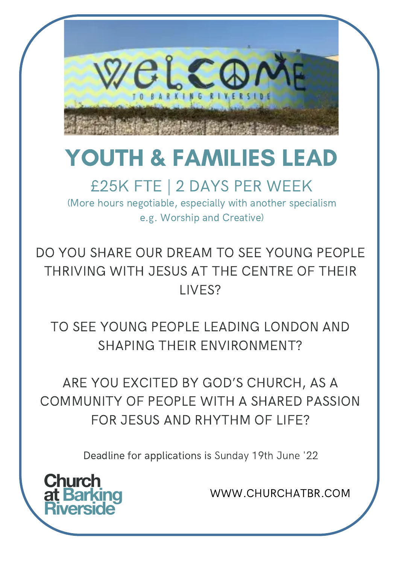

# YOUTH & FAMILIES LEAD

#### £25K FTE | 2 DAYS PER WEEK

(More hours negotiable, especially with another specialism e.g. Worship and Creative)

DO YOU SHARE OUR DREAM TO SEE YOUNG PEOPLE THRIVING WITH JESUS AT THE CENTRE OF THEIR LIVES?

TO SEE YOUNG PEOPLE LEADING LONDON AND SHAPING THEIR ENVIRONMENT?

ARE YOU EXCITED BY GOD'S CHURCH, AS A COMMUNITY OF PEOPLE WITH A SHARED PASSION FOR JESUS AND RHYTHM OF LIFE?

Deadline for [applications](http://www.standrewsandallsaints.org/) is Sunday 19th June '22

**Church** at Barl

WWW.CHURCHATBR.COM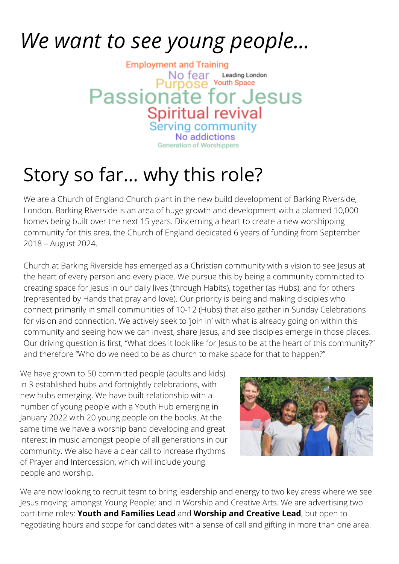# *We want to see young people...*

**Employment and Training** No fear Leading Lon<br>JIDOSE Youth Space Leading London Passionate for Jesus **Spiritual revival** Serving community No addiction Generation of Worshippers

# Story so far... why this role?

We are a Church of England Church plant in the new build development of Barking Riverside, London. Barking Riverside is an area of huge growth and development with a planned 10,000 homes being built over the next 15 years. Discerning a heart to create a new worshipping community for this area, the Church of England dedicated 6 years of funding from September 2018 – August 2024.

Church at Barking Riverside has emerged as a Christian community with a vision to see Jesus at the heart of every person and every place. We pursue this by being a community committed to creating space for Jesus in our daily lives (through Habits), together (as Hubs), and for others (represented by Hands that pray and love). Our priority is being and making disciples who connect primarily in small communities of 10-12 (Hubs) that also gather in Sunday Celebrations for vision and connection. We actively seek to 'join in' with what is already going on within this community and seeing how we can invest, share Jesus, and see disciples emerge in those places. Our driving question is first, "What does it look like for Jesus to be at the heart of this community?" and therefore "Who do we need to be as church to make space for that to happen?"

We have grown to 50 committed people (adults and kids) in 3 established hubs and fortnightly celebrations, with new hubs emerging. We have built relationship with a number of young people with a Youth Hub emerging in January 2022 with 20 young people on the books. At the same time we have a worship band developing and great interest in music amongst people of all generations in our community. We also have a clear call to increase rhythms of Prayer and Intercession, which will include young people and worship.



We are now looking to recruit team to bring leadership and energy to two key areas where we see Jesus moving: amongst Young People; and in Worship and Creative Arts. We are advertising two part-time roles: **Youth and Families Lead** and **Worship and Creative Lead**, but open to negotiating hours and scope for candidates with a sense of call and gifting in more than one area.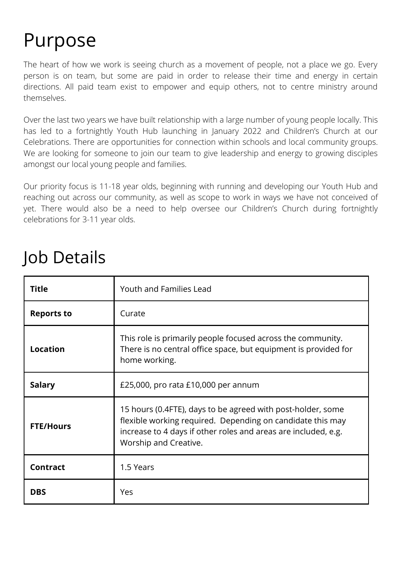### Purpose

The heart of how we work is seeing church as a movement of people, not a place we go. Every person is on team, but some are paid in order to release their time and energy in certain directions. All paid team exist to empower and equip others, not to centre ministry around themselves.

Over the last two years we have built relationship with a large number of young people locally. This has led to a fortnightly Youth Hub launching in January 2022 and Children's Church at our Celebrations. There are opportunities for connection within schools and local community groups. We are looking for someone to join our team to give leadership and energy to growing disciples amongst our local young people and families.

Our priority focus is 11-18 year olds, beginning with running and developing our Youth Hub and reaching out across our community, as well as scope to work in ways we have not conceived of yet. There would also be a need to help oversee our Children's Church during fortnightly celebrations for 3-11 year olds.

| <b>Title</b>      | Youth and Families Lead                                                                                                                                                                                              |
|-------------------|----------------------------------------------------------------------------------------------------------------------------------------------------------------------------------------------------------------------|
| <b>Reports to</b> | Curate                                                                                                                                                                                                               |
| <b>Location</b>   | This role is primarily people focused across the community.<br>There is no central office space, but equipment is provided for<br>home working.                                                                      |
| <b>Salary</b>     | £25,000, pro rata £10,000 per annum                                                                                                                                                                                  |
| <b>FTE/Hours</b>  | 15 hours (0.4FTE), days to be agreed with post-holder, some<br>flexible working required. Depending on candidate this may<br>increase to 4 days if other roles and areas are included, e.g.<br>Worship and Creative. |
| <b>Contract</b>   | 1.5 Years                                                                                                                                                                                                            |
| <b>DBS</b>        | Yes                                                                                                                                                                                                                  |

#### Job Details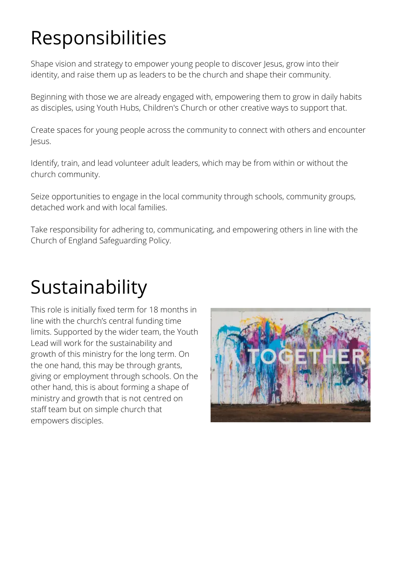# Responsibilities

Shape vision and strategy to empower young people to discover Jesus, grow into their identity, and raise them up as leaders to be the church and shape their community.

Beginning with those we are already engaged with, empowering them to grow in daily habits as disciples, using Youth Hubs, Children's Church or other creative ways to support that.

Create spaces for young people across the community to connect with others and encounter Jesus.

Identify, train, and lead volunteer adult leaders, which may be from within or without the church community.

Seize opportunities to engage in the local community through schools, community groups, detached work and with local families.

Take responsibility for adhering to, communicating, and empowering others in line with the Church of England Safeguarding Policy.

### Sustainability

This role is initially fixed term for 18 months in line with the church's central funding time limits. Supported by the wider team, the Youth Lead will work for the sustainability and growth of this ministry for the long term. On the one hand, this may be through grants, giving or employment through schools. On the other hand, this is about forming a shape of ministry and growth that is not centred on staff team but on simple church that empowers disciples.

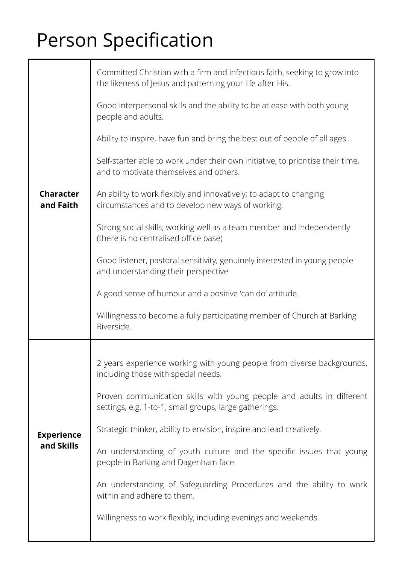# Person Specification

| <b>Character</b><br>and Faith   | Committed Christian with a firm and infectious faith, seeking to grow into<br>the likeness of Jesus and patterning your life after His. |
|---------------------------------|-----------------------------------------------------------------------------------------------------------------------------------------|
|                                 | Good interpersonal skills and the ability to be at ease with both young<br>people and adults.                                           |
|                                 | Ability to inspire, have fun and bring the best out of people of all ages.                                                              |
|                                 | Self-starter able to work under their own initiative, to prioritise their time,<br>and to motivate themselves and others.               |
|                                 | An ability to work flexibly and innovatively; to adapt to changing<br>circumstances and to develop new ways of working.                 |
|                                 | Strong social skills; working well as a team member and independently<br>(there is no centralised office base)                          |
|                                 | Good listener, pastoral sensitivity, genuinely interested in young people<br>and understanding their perspective                        |
|                                 | A good sense of humour and a positive 'can do' attitude.                                                                                |
|                                 | Willingness to become a fully participating member of Church at Barking<br>Riverside.                                                   |
|                                 |                                                                                                                                         |
| <b>Experience</b><br>and Skills | 2 years experience working with young people from diverse backgrounds,<br>including those with special needs.                           |
|                                 | Proven communication skills with young people and adults in different<br>settings, e.g. 1-to-1, small groups, large gatherings.         |
|                                 | Strategic thinker, ability to envision, inspire and lead creatively.                                                                    |
|                                 | An understanding of youth culture and the specific issues that young<br>people in Barking and Dagenham face                             |
|                                 | An understanding of Safeguarding Procedures and the ability to work<br>within and adhere to them.                                       |
|                                 | Willingness to work flexibly, including evenings and weekends.                                                                          |
|                                 |                                                                                                                                         |